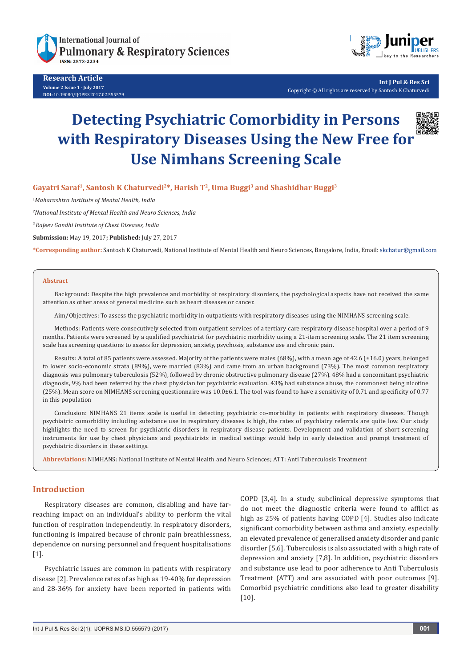

**Research Article Volume 2 Issue 1 - July 2017 DOI:** [10.19080/IJOPRS.2017.02.555579](http://dx.doi.org/10.19080/IJOPRS.2017.02.555579
)



**Int J Pul & Res Sci** Copyright © All rights are reserved by Santosh K Chaturvedi

# **Detecting Psychiatric Comorbidity in Persons with Respiratory Diseases Using the New Free for Use Nimhans Screening Scale**



**Gayatri Saraf1, Santosh K Chaturvedi2\*, Harish T2, Uma Buggi3 and Shashidhar Buggi3**

*1 Maharashtra Institute of Mental Health, India*

*2 National Institute of Mental Health and Neuro Sciences, India*

*3 Rajeev Gandhi Institute of Chest Diseases, India*

**Submission:** May 19, 2017**; Published:** July 27, 2017

**\*Corresponding author:** Santosh K Chaturvedi, National Institute of Mental Health and Neuro Sciences, Bangalore, India, Email:

#### **Abstract**

Background: Despite the high prevalence and morbidity of respiratory disorders, the psychological aspects have not received the same attention as other areas of general medicine such as heart diseases or cancer.

Aim/Objectives: To assess the psychiatric morbidity in outpatients with respiratory diseases using the NIMHANS screening scale.

Methods: Patients were consecutively selected from outpatient services of a tertiary care respiratory disease hospital over a period of 9 months. Patients were screened by a qualified psychiatrist for psychiatric morbidity using a 21-item screening scale. The 21 item screening scale has screening questions to assess for depression, anxiety, psychosis, substance use and chronic pain.

Results: A total of 85 patients were assessed. Majority of the patients were males (68%), with a mean age of 42.6 (±16.0) years, belonged to lower socio-economic strata (89%), were married (83%) and came from an urban background (73%). The most common respiratory diagnosis was pulmonary tuberculosis (52%), followed by chronic obstructive pulmonary disease (27%). 48% had a concomitant psychiatric diagnosis, 9% had been referred by the chest physician for psychiatric evaluation. 43% had substance abuse, the commonest being nicotine (25%). Mean score on NIMHANS screening questionnaire was 10.0±6.1. The tool was found to have a sensitivity of 0.71 and specificity of 0.77 in this population

Conclusion: NIMHANS 21 items scale is useful in detecting psychiatric co-morbidity in patients with respiratory diseases. Though psychiatric comorbidity including substance use in respiratory diseases is high, the rates of psychiatry referrals are quite low. Our study highlights the need to screen for psychiatric disorders in respiratory disease patients. Development and validation of short screening instruments for use by chest physicians and psychiatrists in medical settings would help in early detection and prompt treatment of psychiatric disorders in these settings.

**Abbreviations:** NIMHANS: National Institute of Mental Health and Neuro Sciences; ATT: Anti Tuberculosis Treatment

## **Introduction**

Respiratory diseases are common, disabling and have farreaching impact on an individual's ability to perform the vital function of respiration independently. In respiratory disorders, functioning is impaired because of chronic pain breathlessness, dependence on nursing personnel and frequent hospitalisations [1].

Psychiatric issues are common in patients with respiratory disease [2]. Prevalence rates of as high as 19-40% for depression and 28-36% for anxiety have been reported in patients with COPD [3,4]. In a study, subclinical depressive symptoms that do not meet the diagnostic criteria were found to afflict as high as 25% of patients having COPD [4]. Studies also indicate significant comorbidity between asthma and anxiety, especially an elevated prevalence of generalised anxiety disorder and panic disorder [5,6]. Tuberculosis is also associated with a high rate of depression and anxiety [7,8]. In addition, psychiatric disorders and substance use lead to poor adherence to Anti Tuberculosis Treatment (ATT) and are associated with poor outcomes [9]. Comorbid psychiatric conditions also lead to greater disability [10].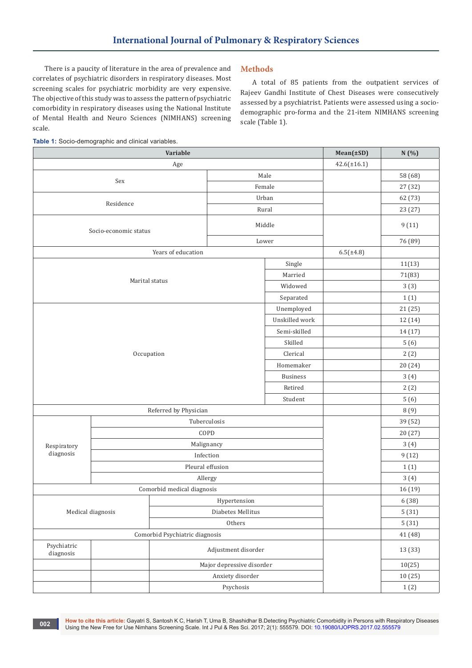There is a paucity of literature in the area of prevalence and correlates of psychiatric disorders in respiratory diseases. Most screening scales for psychiatric morbidity are very expensive. The objective of this study was to assess the pattern of psychiatric comorbidity in respiratory diseases using the National Institute of Mental Health and Neuro Sciences (NIMHANS) screening scale.

# **Methods**

A total of 85 patients from the outpatient services of Rajeev Gandhi Institute of Chest Diseases were consecutively assessed by a psychiatrist. Patients were assessed using a sociodemographic pro-forma and the 21-item NIMHANS screening scale (Table 1).



| Variable                                                                          |                            |                           | Mean(±SD) | N(%)             |         |
|-----------------------------------------------------------------------------------|----------------------------|---------------------------|-----------|------------------|---------|
| Age                                                                               |                            |                           |           | $42.6(\pm 16.1)$ |         |
| Sex                                                                               |                            |                           | Male      |                  | 58 (68) |
|                                                                                   |                            |                           | Female    |                  | 27 (32) |
| Residence                                                                         |                            |                           | Urban     |                  | 62 (73) |
|                                                                                   |                            |                           | Rural     |                  | 23 (27) |
| Socio-economic status                                                             |                            |                           | Middle    |                  | 9(11)   |
|                                                                                   |                            |                           | Lower     |                  | 76 (89) |
|                                                                                   | Years of education         |                           |           | $6.5(\pm 4.8)$   |         |
|                                                                                   |                            |                           | Single    |                  | 11(13)  |
|                                                                                   |                            |                           | Married   |                  | 71(83)  |
|                                                                                   | Marital status             |                           | Widowed   |                  | 3(3)    |
|                                                                                   |                            |                           | Separated |                  | 1(1)    |
| Unemployed<br>Unskilled work<br>Semi-skilled<br>Skilled<br>Occupation<br>Clerical |                            |                           |           |                  | 21 (25) |
|                                                                                   |                            |                           |           |                  | 12 (14) |
|                                                                                   |                            |                           |           |                  | 14 (17) |
|                                                                                   |                            |                           |           |                  | 5(6)    |
|                                                                                   |                            |                           |           |                  | 2(2)    |
| Homemaker                                                                         |                            |                           |           |                  | 20 (24) |
|                                                                                   |                            |                           | 3(4)      |                  |         |
|                                                                                   |                            |                           | 2(2)      |                  |         |
|                                                                                   |                            |                           | Student   |                  | 5(6)    |
| Referred by Physician                                                             |                            |                           |           | 8(9)             |         |
|                                                                                   | Tuberculosis               |                           |           |                  | 39 (52) |
|                                                                                   | COPD                       |                           |           |                  | 20 (27) |
| Respiratory                                                                       | Malignancy                 |                           |           |                  | 3(4)    |
| diagnosis                                                                         | Infection                  |                           |           |                  | 9(12)   |
|                                                                                   | Pleural effusion           |                           |           |                  | 1(1)    |
|                                                                                   | Allergy                    |                           |           |                  | 3(4)    |
|                                                                                   | Comorbid medical diagnosis |                           | 16 (19)   |                  |         |
|                                                                                   |                            |                           | 6 (38)    |                  |         |
| Medical diagnosis                                                                 |                            | Diabetes Mellitus         |           |                  | 5(31)   |
|                                                                                   |                            | Others                    |           |                  | 5(31)   |
| Comorbid Psychiatric diagnosis                                                    |                            |                           |           | 41 (48)          |         |
| Psychiatric<br>diagnosis                                                          |                            | Adjustment disorder       |           |                  | 13 (33) |
|                                                                                   |                            | Major depressive disorder |           |                  | 10(25)  |
|                                                                                   |                            | Anxiety disorder          |           |                  | 10(25)  |
|                                                                                   |                            | Psychosis                 |           |                  | 1(2)    |

**How to cite this article:** Gayatri S, Santosh K C, Harish T, Uma B, Shashidhar B.Detecting Psychiatric Comorbidity in Persons with Respiratory Diseases How to cite this article: Gayatri S, Santosh K C, Harish T, Uma B, Shashidhar B.Detecting Psychiatric Comorbidity in Persons with Resping the New Free for Use Nimhans Screening Scale. Int J Pul & Res Sci. 2017; 2(1): 55557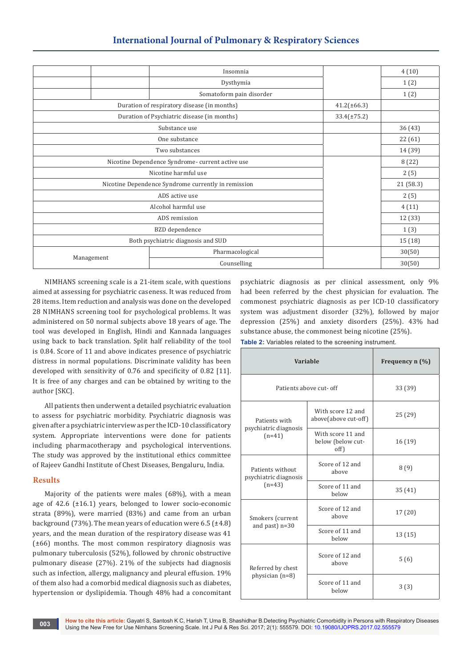|                                                     | Insomnia                 |           | 4(10)  |
|-----------------------------------------------------|--------------------------|-----------|--------|
|                                                     | Dysthymia                |           | 1(2)   |
|                                                     | Somatoform pain disorder |           | 1(2)   |
| Duration of respiratory disease (in months)         | $41.2(\pm 66.3)$         |           |        |
| Duration of Psychiatric disease (in months)         | $33.4(\pm 75.2)$         |           |        |
|                                                     |                          | 36 (43)   |        |
|                                                     |                          | 22 (61)   |        |
|                                                     |                          | 14 (39)   |        |
| Nicotine Dependence Syndrome- current active use    |                          | 8(22)     |        |
|                                                     |                          | 2(5)      |        |
| Nicotine Dependence Syndrome currently in remission |                          | 21 (58.3) |        |
|                                                     |                          | 2(5)      |        |
|                                                     |                          | 4(11)     |        |
|                                                     | 12 (33)                  |           |        |
|                                                     |                          | 1(3)      |        |
| Both psychiatric diagnosis and SUD                  |                          | 15 (18)   |        |
|                                                     | Pharmacological          |           | 30(50) |
| Management                                          | Counselling              |           | 30(50) |

NIMHANS screening scale is a 21-item scale, with questions aimed at assessing for psychiatric caseness. It was reduced from 28 items. Item reduction and analysis was done on the developed 28 NIMHANS screening tool for psychological problems. It was administered on 50 normal subjects above 18 years of age. The tool was developed in English, Hindi and Kannada languages using back to back translation. Split half reliability of the tool is 0.84. Score of 11 and above indicates presence of psychiatric distress in normal populations. Discriminate validity has been developed with sensitivity of 0.76 and specificity of 0.82 [11]. It is free of any charges and can be obtained by writing to the author [SKC].

All patients then underwent a detailed psychiatric evaluation to assess for psychiatric morbidity. Psychiatric diagnosis was given after a psychiatric interview as per the ICD-10 classificatory system. Appropriate interventions were done for patients including pharmacotherapy and psychological interventions. The study was approved by the institutional ethics committee of Rajeev Gandhi Institute of Chest Diseases, Bengaluru, India.

# **Results**

Majority of the patients were males (68%), with a mean age of 42.6 (±16.1) years, belonged to lower socio-economic strata (89%), were married (83%) and came from an urban background (73%). The mean years of education were 6.5 ( $\pm$ 4.8) years, and the mean duration of the respiratory disease was 41 (±66) months. The most common respiratory diagnosis was pulmonary tuberculosis (52%), followed by chronic obstructive pulmonary disease (27%). 21% of the subjects had diagnosis such as infection, allergy, malignancy and pleural effusion. 19% of them also had a comorbid medical diagnosis such as diabetes, hypertension or dyslipidemia. Though 48% had a concomitant psychiatric diagnosis as per clinical assessment, only 9% had been referred by the chest physician for evaluation. The commonest psychiatric diagnosis as per ICD-10 classificatory system was adjustment disorder (32%), followed by major depression (25%) and anxiety disorders (25%). 43% had substance abuse, the commonest being nicotine (25%).

**Table 2:** Variables related to the screening instrument.

| Variable                                  | Frequency $n$ $(\%)$                           |        |
|-------------------------------------------|------------------------------------------------|--------|
| Patients above cut- off                   | 33 (39)                                        |        |
| Patients with                             | With score 12 and<br>above(above cut-off)      | 25(29) |
| psychiatric diagnosis<br>$(n=41)$         | With score 11 and<br>below (below cut-<br>off) | 16(19) |
| Patients without<br>psychiatric diagnosis | Score of 12 and<br>above                       | 8(9)   |
| $(n=43)$                                  | Score of 11 and<br>helow                       | 35(41) |
| Smokers (current                          | Score of 12 and<br>above                       | 17(20) |
| and past) $n=30$                          | Score of 11 and<br>helow                       | 13(15) |
| Referred by chest                         | Score of 12 and<br>above                       | 5(6)   |
| physician $(n=8)$                         | Score of 11 and<br>helow                       | 3(3)   |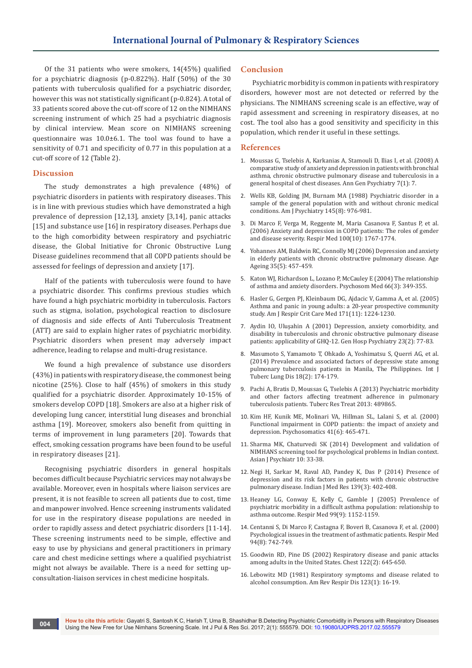Of the 31 patients who were smokers, 14(45%) qualified for a psychiatric diagnosis (p-0.822%). Half (50%) of the 30 patients with tuberculosis qualified for a psychiatric disorder, however this was not statistically significant (p-0.824). A total of 33 patients scored above the cut-off score of 12 on the NIMHANS screening instrument of which 25 had a psychiatric diagnosis by clinical interview. Mean score on NIMHANS screening questionnaire was 10.0±6.1. The tool was found to have a sensitivity of 0.71 and specificity of 0.77 in this population at a cut-off score of 12 (Table 2).

### **Discussion**

The study demonstrates a high prevalence (48%) of psychiatric disorders in patients with respiratory diseases. This is in line with previous studies which have demonstrated a high prevalence of depression [12,13], anxiety [3,14], panic attacks [15] and substance use [16] in respiratory diseases. Perhaps due to the high comorbidity between respiratory and psychiatric disease, the Global Initiative for Chronic Obstructive Lung Disease guidelines recommend that all COPD patients should be assessed for feelings of depression and anxiety [17].

Half of the patients with tuberculosis were found to have a psychiatric disorder. This confirms previous studies which have found a high psychiatric morbidity in tuberculosis. Factors such as stigma, isolation, psychological reaction to disclosure of diagnosis and side effects of Anti Tuberculosis Treatment (ATT) are said to explain higher rates of psychiatric morbidity. Psychiatric disorders when present may adversely impact adherence, leading to relapse and multi-drug resistance.

We found a high prevalence of substance use disorders (43%) in patients with respiratory disease, the commonest being nicotine (25%). Close to half (45%) of smokers in this study qualified for a psychiatric disorder. Approximately 10-15% of smokers develop COPD [18]. Smokers are also at a higher risk of developing lung cancer, interstitial lung diseases and bronchial asthma [19]. Moreover, smokers also benefit from quitting in terms of improvement in lung parameters [20]. Towards that effect, smoking cessation programs have been found to be useful in respiratory diseases [21].

Recognising psychiatric disorders in general hospitals becomes difficult because Psychiatric services may not always be available. Moreover, even in hospitals where liaison services are present, it is not feasible to screen all patients due to cost, time and manpower involved. Hence screening instruments validated for use in the respiratory disease populations are needed in order to rapidly assess and detect psychiatric disorders [11-14]. These screening instruments need to be simple, effective and easy to use by physicians and general practitioners in primary care and chest medicine settings where a qualified psychiatrist might not always be available. There is a need for setting upconsultation-liaison services in chest medicine hospitals.

#### **Conclusion**

Psychiatric morbidity is common in patients with respiratory disorders, however most are not detected or referred by the physicians. The NIMHANS screening scale is an effective, way of rapid assessment and screening in respiratory diseases, at no cost. The tool also has a good sensitivity and specificity in this population, which render it useful in these settings.

#### **References**

- 1. [Moussas G, Tselebis A, Karkanias A, Stamouli D, Ilias I, et al. \(2008\) A](https://www.ncbi.nlm.nih.gov/pubmed/18495038)  [comparative study of anxiety and depression in patients with bronchial](https://www.ncbi.nlm.nih.gov/pubmed/18495038)  [asthma, chronic obstructive pulmonary disease and tuberculosis in a](https://www.ncbi.nlm.nih.gov/pubmed/18495038)  [general hospital of chest diseases. Ann Gen Psychiatry 7\(1\): 7.](https://www.ncbi.nlm.nih.gov/pubmed/18495038)
- 2. [Wells KB, Golding JM, Burnam MA \(1988\) Psychiatric disorder in a](https://www.ncbi.nlm.nih.gov/pubmed/2969199)  [sample of the general population with and without chronic medical](https://www.ncbi.nlm.nih.gov/pubmed/2969199)  [conditions. Am J Psychiatry 145\(8\): 976-981.](https://www.ncbi.nlm.nih.gov/pubmed/2969199)
- 3. [Di Marco F, Verga M, Reggente M, Maria Casanova F, Santus P, et al.](https://www.ncbi.nlm.nih.gov/pubmed/16531031)  [\(2006\) Anxiety and depression in COPD patients: The roles of gender](https://www.ncbi.nlm.nih.gov/pubmed/16531031)  [and disease severity. Respir Med 100\(10\): 1767-1774.](https://www.ncbi.nlm.nih.gov/pubmed/16531031)
- 4. [Yohannes AM, Baldwin RC, Connolly MJ \(2006\) Depression and anxiety](https://www.ncbi.nlm.nih.gov/pubmed/16638758)  [in elderly patients with chronic obstructive pulmonary disease. Age](https://www.ncbi.nlm.nih.gov/pubmed/16638758)  [Ageing 35\(5\): 457-459.](https://www.ncbi.nlm.nih.gov/pubmed/16638758)
- 5. [Katon WJ, Richardson L, Lozano P, McCauley E \(2004\) The relationship](https://www.ncbi.nlm.nih.gov/pubmed/15184694)  [of asthma and anxiety disorders. Psychosom Med 66\(3\): 349-355.](https://www.ncbi.nlm.nih.gov/pubmed/15184694)
- 6. [Hasler G, Gergen PJ, Kleinbaum DG, Ajdacic V, Gamma A, et al. \(2005\)](https://www.ncbi.nlm.nih.gov/pubmed/15764721)  [Asthma and panic in young adults: a 20-year prospective community](https://www.ncbi.nlm.nih.gov/pubmed/15764721)  [study. Am J Respir Crit Care Med 171\(11\): 1224-1230.](https://www.ncbi.nlm.nih.gov/pubmed/15764721)
- 7. [Aydin IO, Uluşahin A \(2001\) Depression, anxiety comorbidity, and](https://www.ncbi.nlm.nih.gov/pubmed/11313075)  [disability in tuberculosis and chronic obstructive pulmonary disease](https://www.ncbi.nlm.nih.gov/pubmed/11313075)  [patients: applicability of GHQ-12. Gen Hosp Psychiatry 23\(2\): 77-83.](https://www.ncbi.nlm.nih.gov/pubmed/11313075)
- 8. [Masumoto S, Yamamoto T, Ohkado A, Yoshimatsu S, Querri AG, et al.](https://www.ncbi.nlm.nih.gov/pubmed/24429309)  [\(2014\) Prevalence and associated factors of depressive state among](https://www.ncbi.nlm.nih.gov/pubmed/24429309)  [pulmonary tuberculosis patients in Manila, The Philippines. Int J](https://www.ncbi.nlm.nih.gov/pubmed/24429309)  [Tuberc Lung Dis 18\(2\): 174-179.](https://www.ncbi.nlm.nih.gov/pubmed/24429309)
- 9. [Pachi A, Bratis D, Moussas G, Tselebis A \(2013\) Psychiatric morbidity](https://www.hindawi.com/journals/trt/2013/489865/)  [and other factors affecting treatment adherence in pulmonary](https://www.hindawi.com/journals/trt/2013/489865/)  [tuberculosis patients. Tuberc Res Treat 2013: 489865.](https://www.hindawi.com/journals/trt/2013/489865/)
- 10. [Kim HF, Kunik ME, Molinari VA, Hillman SL, Lalani S, et al. \(2000\)](https://www.ncbi.nlm.nih.gov/pubmed/11110109)  [Functional impairment in COPD patients: the impact of anxiety and](https://www.ncbi.nlm.nih.gov/pubmed/11110109)  [depression. Psychosomatics 41\(6\): 465-471.](https://www.ncbi.nlm.nih.gov/pubmed/11110109)
- 11. [Sharma MK, Chaturvedi SK \(2014\) Development and validation of](http://www.asianjournalofpsychiatry.com/article/S1876-2018(14)00071-9/abstract)  [NIMHANS screening tool for psychological problems in Indian context.](http://www.asianjournalofpsychiatry.com/article/S1876-2018(14)00071-9/abstract)  [Asian J Psychiatr 10: 33-38.](http://www.asianjournalofpsychiatry.com/article/S1876-2018(14)00071-9/abstract)
- 12. [Negi H, Sarkar M, Raval AD, Pandey K, Das P \(2014\) Presence of](https://www.ncbi.nlm.nih.gov/pubmed/24820834)  [depression and its risk factors in patients with chronic obstructive](https://www.ncbi.nlm.nih.gov/pubmed/24820834)  [pulmonary disease. Indian J Med Res 139\(3\): 402-408.](https://www.ncbi.nlm.nih.gov/pubmed/24820834)
- 13. [Heaney LG, Conway E, Kelly C, Gamble J \(2005\) Prevalence of](https://www.ncbi.nlm.nih.gov/pubmed/16085217)  [psychiatric morbidity in a difficult asthma population: relationship to](https://www.ncbi.nlm.nih.gov/pubmed/16085217)  [asthma outcome. Respir Med 99\(9\): 1152-1159.](https://www.ncbi.nlm.nih.gov/pubmed/16085217)
- 14. [Centanni S, Di Marco F, Castagna F, Boveri B, Casanova F, et al. \(2000\)](https://www.ncbi.nlm.nih.gov/pubmed/10955748)  [Psychological issues in the treatment of asthmatic patients. Respir Med](https://www.ncbi.nlm.nih.gov/pubmed/10955748)  [94\(8\): 742-749.](https://www.ncbi.nlm.nih.gov/pubmed/10955748)
- 15. [Goodwin RD, Pine DS \(2002\) Respiratory disease and panic attacks](https://www.ncbi.nlm.nih.gov/pubmed/12171845)  [among adults in the United States. Chest 122\(2\): 645-650.](https://www.ncbi.nlm.nih.gov/pubmed/12171845)
- 16. [Lebowitz MD \(1981\) Respiratory symptoms and disease related to](https://www.ncbi.nlm.nih.gov/pubmed/7458081)  [alcohol consumption. Am Rev Respir Dis 123\(1\): 16-19.](https://www.ncbi.nlm.nih.gov/pubmed/7458081)